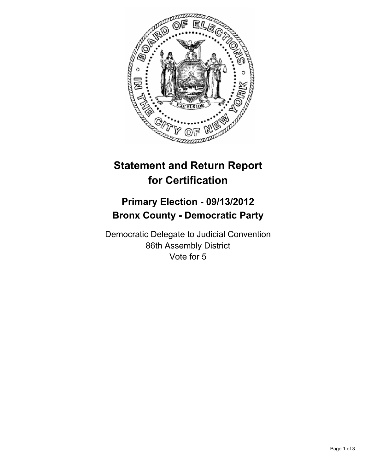

## **Statement and Return Report for Certification**

## **Primary Election - 09/13/2012 Bronx County - Democratic Party**

Democratic Delegate to Judicial Convention 86th Assembly District Vote for 5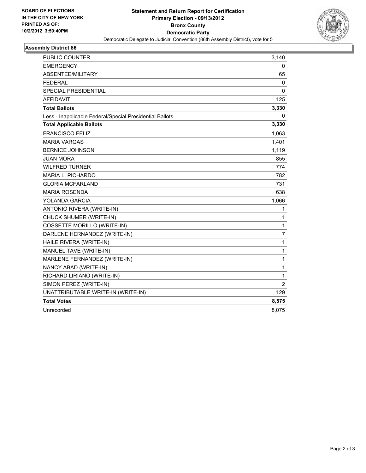

## **Assembly District 86**

| <b>PUBLIC COUNTER</b>                                    | 3,140          |
|----------------------------------------------------------|----------------|
| <b>EMERGENCY</b>                                         | 0              |
| ABSENTEE/MILITARY                                        | 65             |
| <b>FEDERAL</b>                                           | $\mathbf 0$    |
| <b>SPECIAL PRESIDENTIAL</b>                              | 0              |
| AFFIDAVIT                                                | 125            |
| <b>Total Ballots</b>                                     | 3,330          |
| Less - Inapplicable Federal/Special Presidential Ballots | 0              |
| <b>Total Applicable Ballots</b>                          | 3,330          |
| <b>FRANCISCO FELIZ</b>                                   | 1,063          |
| <b>MARIA VARGAS</b>                                      | 1,401          |
| <b>BERNICE JOHNSON</b>                                   | 1,119          |
| <b>JUAN MORA</b>                                         | 855            |
| <b>WILFRED TURNER</b>                                    | 774            |
| MARIA L. PICHARDO                                        | 782            |
| <b>GLORIA MCFARLAND</b>                                  | 731            |
| <b>MARIA ROSENDA</b>                                     | 638            |
| YOLANDA GARCIA                                           | 1,066          |
| ANTONIO RIVERA (WRITE-IN)                                | 1              |
| CHUCK SHUMER (WRITE-IN)                                  | 1              |
| <b>COSSETTE MORILLO (WRITE-IN)</b>                       | 1              |
| DARLENE HERNANDEZ (WRITE-IN)                             | 7              |
| HAILE RIVERA (WRITE-IN)                                  | 1              |
| MANUEL TAVE (WRITE-IN)                                   | 1              |
| MARLENE FERNANDEZ (WRITE-IN)                             | 1              |
| NANCY ABAD (WRITE-IN)                                    | 1              |
| RICHARD LIRIANO (WRITE-IN)                               | 1              |
| SIMON PEREZ (WRITE-IN)                                   | $\overline{2}$ |
| UNATTRIBUTABLE WRITE-IN (WRITE-IN)                       | 129            |
| <b>Total Votes</b>                                       | 8,575          |
| Unrecorded                                               | 8,075          |